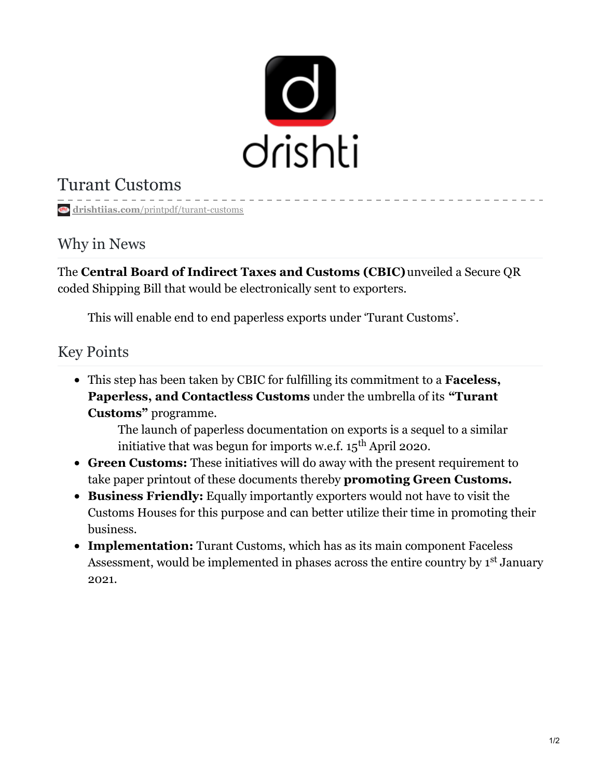

# Turant Customs

**drishtiias.com**[/printpdf/turant-customs](https://www.drishtiias.com/printpdf/turant-customs)

### Why in News

The **Central Board of Indirect Taxes and Customs (CBIC)**unveiled a Secure QR coded Shipping Bill that would be electronically sent to exporters.

This will enable end to end paperless exports under 'Turant Customs'.

### Key Points

This step has been taken by CBIC for fulfilling its commitment to a **Faceless, Paperless, and Contactless Customs** under the umbrella of its **"Turant Customs"** programme.

The launch of paperless documentation on exports is a sequel to a similar initiative that was begun for imports w.e.f. 15 $^{\rm th}$  April 2020.

- **Green Customs:** These initiatives will do away with the present requirement to take paper printout of these documents thereby **promoting Green Customs.**
- **Business Friendly:** Equally importantly exporters would not have to visit the Customs Houses for this purpose and can better utilize their time in promoting their business.
- **Implementation:** Turant Customs, which has as its main component Faceless Assessment, would be implemented in phases across the entire country by 1<sup>st</sup> January 2021.